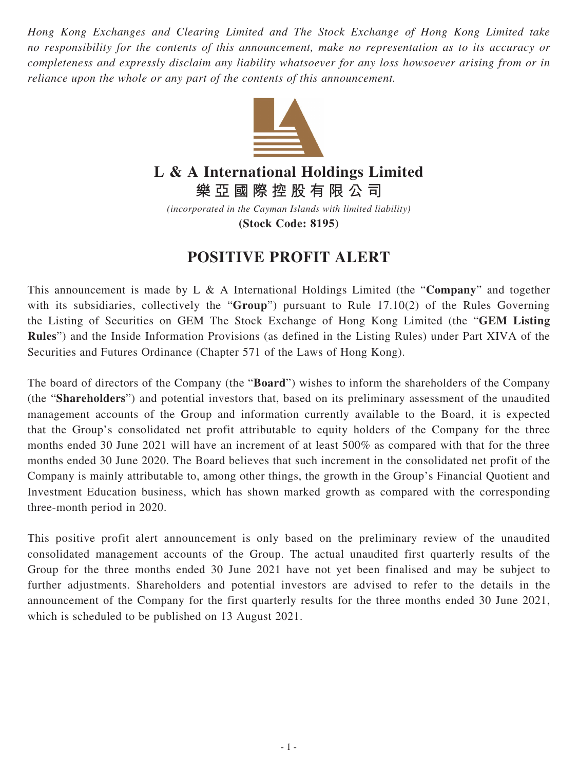*Hong Kong Exchanges and Clearing Limited and The Stock Exchange of Hong Kong Limited take no responsibility for the contents of this announcement, make no representation as to its accuracy or completeness and expressly disclaim any liability whatsoever for any loss howsoever arising from or in reliance upon the whole or any part of the contents of this announcement.*



## **L & A International Holdings Limited**

**樂亞國際控股有限公司**

*(incorporated in the Cayman Islands with limited liability)* **(Stock Code: 8195)**

## **POSITIVE PROFIT ALERT**

This announcement is made by L & A International Holdings Limited (the "**Company**" and together with its subsidiaries, collectively the "**Group**") pursuant to Rule 17.10(2) of the Rules Governing the Listing of Securities on GEM The Stock Exchange of Hong Kong Limited (the "**GEM Listing Rules**") and the Inside Information Provisions (as defined in the Listing Rules) under Part XIVA of the Securities and Futures Ordinance (Chapter 571 of the Laws of Hong Kong).

The board of directors of the Company (the "**Board**") wishes to inform the shareholders of the Company (the "**Shareholders**") and potential investors that, based on its preliminary assessment of the unaudited management accounts of the Group and information currently available to the Board, it is expected that the Group's consolidated net profit attributable to equity holders of the Company for the three months ended 30 June 2021 will have an increment of at least 500% as compared with that for the three months ended 30 June 2020. The Board believes that such increment in the consolidated net profit of the Company is mainly attributable to, among other things, the growth in the Group's Financial Quotient and Investment Education business, which has shown marked growth as compared with the corresponding three-month period in 2020.

This positive profit alert announcement is only based on the preliminary review of the unaudited consolidated management accounts of the Group. The actual unaudited first quarterly results of the Group for the three months ended 30 June 2021 have not yet been finalised and may be subject to further adjustments. Shareholders and potential investors are advised to refer to the details in the announcement of the Company for the first quarterly results for the three months ended 30 June 2021, which is scheduled to be published on 13 August 2021.